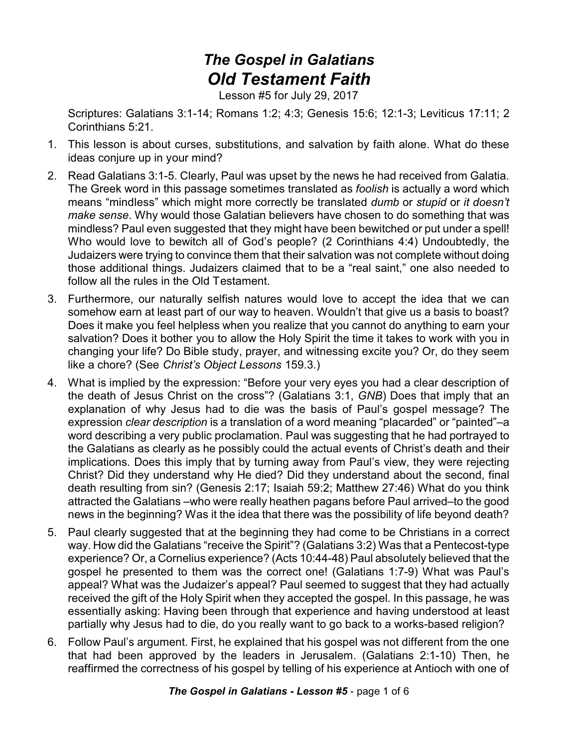## *The Gospel in Galatians Old Testament Faith*

Lesson #5 for July 29, 2017

Scriptures: Galatians 3:1-14; Romans 1:2; 4:3; Genesis 15:6; 12:1-3; Leviticus 17:11; 2 Corinthians 5:21.

- 1. This lesson is about curses, substitutions, and salvation by faith alone. What do these ideas conjure up in your mind?
- 2. Read Galatians 3:1-5. Clearly, Paul was upset by the news he had received from Galatia. The Greek word in this passage sometimes translated as *foolish* is actually a word which means "mindless" which might more correctly be translated *dumb* or *stupid* or *it doesn't make sense*. Why would those Galatian believers have chosen to do something that was mindless? Paul even suggested that they might have been bewitched or put under a spell! Who would love to bewitch all of God's people? (2 Corinthians 4:4) Undoubtedly, the Judaizers were trying to convince them that their salvation was not complete without doing those additional things. Judaizers claimed that to be a "real saint," one also needed to follow all the rules in the Old Testament.
- 3. Furthermore, our naturally selfish natures would love to accept the idea that we can somehow earn at least part of our way to heaven. Wouldn't that give us a basis to boast? Does it make you feel helpless when you realize that you cannot do anything to earn your salvation? Does it bother you to allow the Holy Spirit the time it takes to work with you in changing your life? Do Bible study, prayer, and witnessing excite you? Or, do they seem like a chore? (See *Christ's Object Lessons* 159.3.)
- 4. What is implied by the expression: "Before your very eyes you had a clear description of the death of Jesus Christ on the cross"? (Galatians 3:1, *GNB*) Does that imply that an explanation of why Jesus had to die was the basis of Paul's gospel message? The expression *clear description* is a translation of a word meaning "placarded" or "painted"–a word describing a very public proclamation. Paul was suggesting that he had portrayed to the Galatians as clearly as he possibly could the actual events of Christ's death and their implications. Does this imply that by turning away from Paul's view, they were rejecting Christ? Did they understand why He died? Did they understand about the second, final death resulting from sin? (Genesis 2:17; Isaiah 59:2; Matthew 27:46) What do you think attracted the Galatians –who were really heathen pagans before Paul arrived–to the good news in the beginning? Was it the idea that there was the possibility of life beyond death?
- 5. Paul clearly suggested that at the beginning they had come to be Christians in a correct way. How did the Galatians "receive the Spirit"? (Galatians 3:2) Was that a Pentecost-type experience? Or, a Cornelius experience? (Acts 10:44-48) Paul absolutely believed that the gospel he presented to them was the correct one! (Galatians 1:7-9) What was Paul's appeal? What was the Judaizer's appeal? Paul seemed to suggest that they had actually received the gift of the Holy Spirit when they accepted the gospel. In this passage, he was essentially asking: Having been through that experience and having understood at least partially why Jesus had to die, do you really want to go back to a works-based religion?
- 6. Follow Paul's argument. First, he explained that his gospel was not different from the one that had been approved by the leaders in Jerusalem. (Galatians 2:1-10) Then, he reaffirmed the correctness of his gospel by telling of his experience at Antioch with one of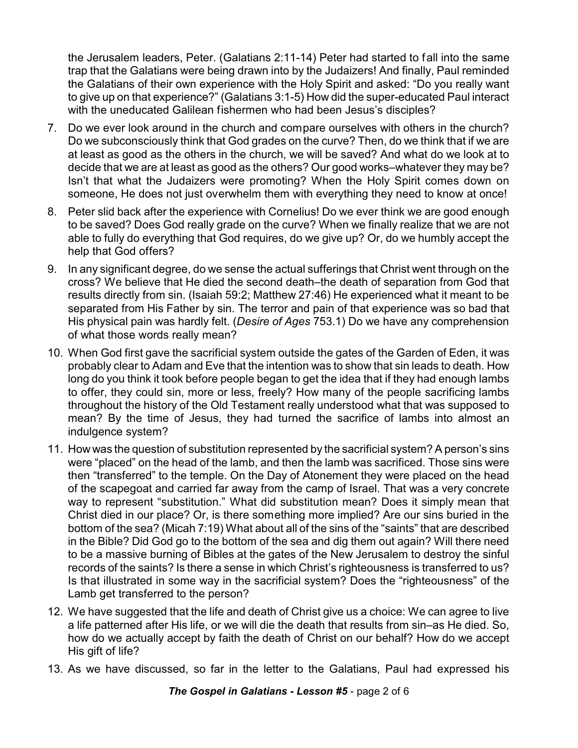the Jerusalem leaders, Peter. (Galatians 2:11-14) Peter had started to fall into the same trap that the Galatians were being drawn into by the Judaizers! And finally, Paul reminded the Galatians of their own experience with the Holy Spirit and asked: "Do you really want to give up on that experience?" (Galatians 3:1-5) How did the super-educated Paul interact with the uneducated Galilean fishermen who had been Jesus's disciples?

- 7. Do we ever look around in the church and compare ourselves with others in the church? Do we subconsciously think that God grades on the curve? Then, do we think that if we are at least as good as the others in the church, we will be saved? And what do we look at to decide that we are at least as good as the others? Our good works–whatever they may be? Isn't that what the Judaizers were promoting? When the Holy Spirit comes down on someone, He does not just overwhelm them with everything they need to know at once!
- 8. Peter slid back after the experience with Cornelius! Do we ever think we are good enough to be saved? Does God really grade on the curve? When we finally realize that we are not able to fully do everything that God requires, do we give up? Or, do we humbly accept the help that God offers?
- 9. In any significant degree, do we sense the actual sufferings that Christ went through on the cross? We believe that He died the second death–the death of separation from God that results directly from sin. (Isaiah 59:2; Matthew 27:46) He experienced what it meant to be separated from His Father by sin. The terror and pain of that experience was so bad that His physical pain was hardly felt. (*Desire of Ages* 753.1) Do we have any comprehension of what those words really mean?
- 10. When God first gave the sacrificial system outside the gates of the Garden of Eden, it was probably clear to Adam and Eve that the intention was to show that sin leads to death. How long do you think it took before people began to get the idea that if they had enough lambs to offer, they could sin, more or less, freely? How many of the people sacrificing lambs throughout the history of the Old Testament really understood what that was supposed to mean? By the time of Jesus, they had turned the sacrifice of lambs into almost an indulgence system?
- 11. How was the question of substitution represented by the sacrificial system? A person's sins were "placed" on the head of the lamb, and then the lamb was sacrificed. Those sins were then "transferred" to the temple. On the Day of Atonement they were placed on the head of the scapegoat and carried far away from the camp of Israel. That was a very concrete way to represent "substitution." What did substitution mean? Does it simply mean that Christ died in our place? Or, is there something more implied? Are our sins buried in the bottom of the sea? (Micah 7:19) What about all of the sins of the "saints" that are described in the Bible? Did God go to the bottom of the sea and dig them out again? Will there need to be a massive burning of Bibles at the gates of the New Jerusalem to destroy the sinful records of the saints? Is there a sense in which Christ's righteousness is transferred to us? Is that illustrated in some way in the sacrificial system? Does the "righteousness" of the Lamb get transferred to the person?
- 12. We have suggested that the life and death of Christ give us a choice: We can agree to live a life patterned after His life, or we will die the death that results from sin–as He died. So, how do we actually accept by faith the death of Christ on our behalf? How do we accept His gift of life?
- 13. As we have discussed, so far in the letter to the Galatians, Paul had expressed his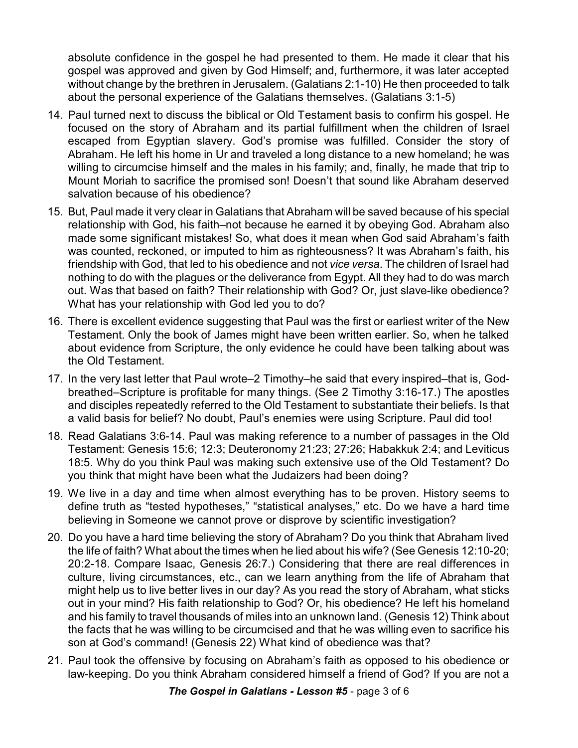absolute confidence in the gospel he had presented to them. He made it clear that his gospel was approved and given by God Himself; and, furthermore, it was later accepted without change by the brethren in Jerusalem. (Galatians 2:1-10) He then proceeded to talk about the personal experience of the Galatians themselves. (Galatians 3:1-5)

- 14. Paul turned next to discuss the biblical or Old Testament basis to confirm his gospel. He focused on the story of Abraham and its partial fulfillment when the children of Israel escaped from Egyptian slavery. God's promise was fulfilled. Consider the story of Abraham. He left his home in Ur and traveled a long distance to a new homeland; he was willing to circumcise himself and the males in his family; and, finally, he made that trip to Mount Moriah to sacrifice the promised son! Doesn't that sound like Abraham deserved salvation because of his obedience?
- 15. But, Paul made it very clear in Galatians that Abraham will be saved because of his special relationship with God, his faith–not because he earned it by obeying God. Abraham also made some significant mistakes! So, what does it mean when God said Abraham's faith was counted, reckoned, or imputed to him as righteousness? It was Abraham's faith, his friendship with God, that led to his obedience and not *vice versa*. The children of Israel had nothing to do with the plagues or the deliverance from Egypt. All they had to do was march out. Was that based on faith? Their relationship with God? Or, just slave-like obedience? What has your relationship with God led you to do?
- 16. There is excellent evidence suggesting that Paul was the first or earliest writer of the New Testament. Only the book of James might have been written earlier. So, when he talked about evidence from Scripture, the only evidence he could have been talking about was the Old Testament.
- 17. In the very last letter that Paul wrote–2 Timothy–he said that every inspired–that is, Godbreathed–Scripture is profitable for many things. (See 2 Timothy 3:16-17.) The apostles and disciples repeatedly referred to the Old Testament to substantiate their beliefs. Is that a valid basis for belief? No doubt, Paul's enemies were using Scripture. Paul did too!
- 18. Read Galatians 3:6-14. Paul was making reference to a number of passages in the Old Testament: Genesis 15:6; 12:3; Deuteronomy 21:23; 27:26; Habakkuk 2:4; and Leviticus 18:5. Why do you think Paul was making such extensive use of the Old Testament? Do you think that might have been what the Judaizers had been doing?
- 19. We live in a day and time when almost everything has to be proven. History seems to define truth as "tested hypotheses," "statistical analyses," etc. Do we have a hard time believing in Someone we cannot prove or disprove by scientific investigation?
- 20. Do you have a hard time believing the story of Abraham? Do you think that Abraham lived the life of faith? What about the times when he lied about his wife? (See Genesis 12:10-20; 20:2-18. Compare Isaac, Genesis 26:7.) Considering that there are real differences in culture, living circumstances, etc., can we learn anything from the life of Abraham that might help us to live better lives in our day? As you read the story of Abraham, what sticks out in your mind? His faith relationship to God? Or, his obedience? He left his homeland and his family to travel thousands of miles into an unknown land. (Genesis 12) Think about the facts that he was willing to be circumcised and that he was willing even to sacrifice his son at God's command! (Genesis 22) What kind of obedience was that?
- 21. Paul took the offensive by focusing on Abraham's faith as opposed to his obedience or law-keeping. Do you think Abraham considered himself a friend of God? If you are not a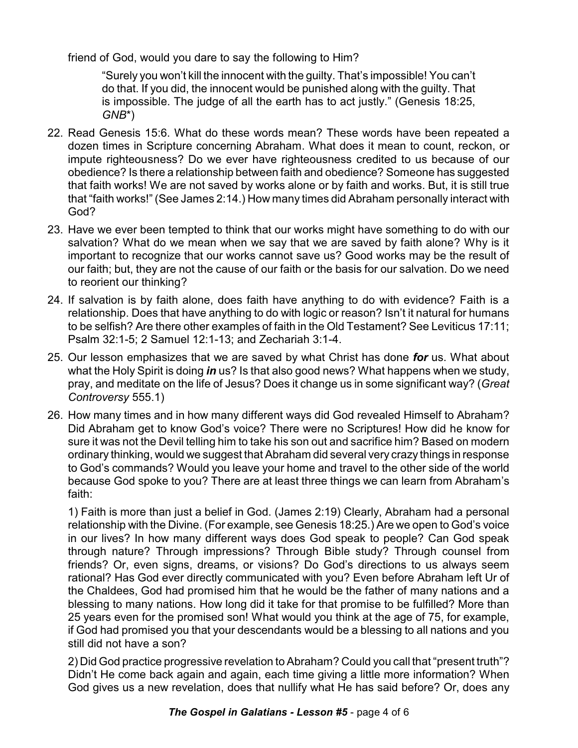friend of God, would you dare to say the following to Him?

"Surely you won't kill the innocent with the guilty. That's impossible! You can't do that. If you did, the innocent would be punished along with the guilty. That is impossible. The judge of all the earth has to act justly." (Genesis 18:25, *GNB*\*)

- 22. Read Genesis 15:6. What do these words mean? These words have been repeated a dozen times in Scripture concerning Abraham. What does it mean to count, reckon, or impute righteousness? Do we ever have righteousness credited to us because of our obedience? Is there a relationship between faith and obedience? Someone has suggested that faith works! We are not saved by works alone or by faith and works. But, it is still true that "faith works!" (See James 2:14.) How many times did Abraham personally interact with God?
- 23. Have we ever been tempted to think that our works might have something to do with our salvation? What do we mean when we say that we are saved by faith alone? Why is it important to recognize that our works cannot save us? Good works may be the result of our faith; but, they are not the cause of our faith or the basis for our salvation. Do we need to reorient our thinking?
- 24. If salvation is by faith alone, does faith have anything to do with evidence? Faith is a relationship. Does that have anything to do with logic or reason? Isn't it natural for humans to be selfish? Are there other examples of faith in the Old Testament? See Leviticus 17:11; Psalm 32:1-5; 2 Samuel 12:1-13; and Zechariah 3:1-4.
- 25. Our lesson emphasizes that we are saved by what Christ has done *for* us. What about what the Holy Spirit is doing *in* us? Is that also good news? What happens when we study, pray, and meditate on the life of Jesus? Does it change us in some significant way? (*Great Controversy* 555.1)
- 26. How many times and in how many different ways did God revealed Himself to Abraham? Did Abraham get to know God's voice? There were no Scriptures! How did he know for sure it was not the Devil telling him to take his son out and sacrifice him? Based on modern ordinary thinking, would we suggest that Abraham did several very crazy things in response to God's commands? Would you leave your home and travel to the other side of the world because God spoke to you? There are at least three things we can learn from Abraham's faith:

1) Faith is more than just a belief in God. (James 2:19) Clearly, Abraham had a personal relationship with the Divine. (For example, see Genesis 18:25.) Are we open to God's voice in our lives? In how many different ways does God speak to people? Can God speak through nature? Through impressions? Through Bible study? Through counsel from friends? Or, even signs, dreams, or visions? Do God's directions to us always seem rational? Has God ever directly communicated with you? Even before Abraham left Ur of the Chaldees, God had promised him that he would be the father of many nations and a blessing to many nations. How long did it take for that promise to be fulfilled? More than 25 years even for the promised son! What would you think at the age of 75, for example, if God had promised you that your descendants would be a blessing to all nations and you still did not have a son?

2) Did God practice progressive revelation to Abraham? Could you call that "present truth"? Didn't He come back again and again, each time giving a little more information? When God gives us a new revelation, does that nullify what He has said before? Or, does any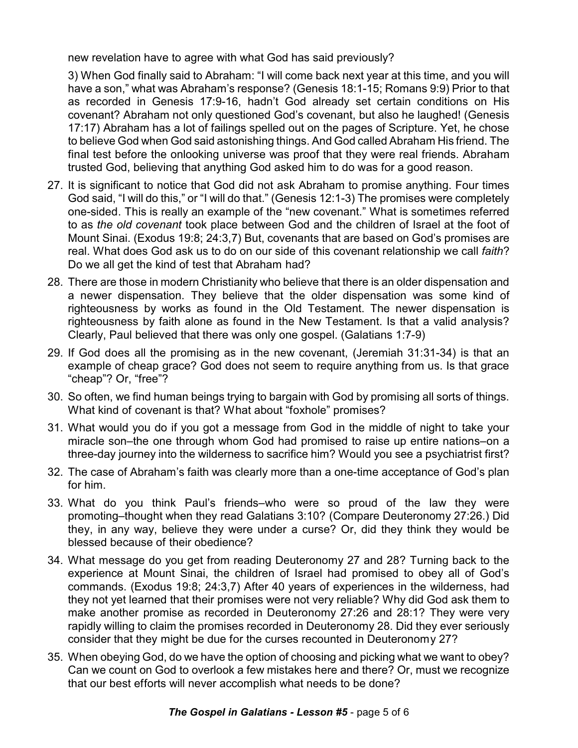new revelation have to agree with what God has said previously?

3) When God finally said to Abraham: "I will come back next year at this time, and you will have a son," what was Abraham's response? (Genesis 18:1-15; Romans 9:9) Prior to that as recorded in Genesis 17:9-16, hadn't God already set certain conditions on His covenant? Abraham not only questioned God's covenant, but also he laughed! (Genesis 17:17) Abraham has a lot of failings spelled out on the pages of Scripture. Yet, he chose to believe God when God said astonishing things. And God called Abraham His friend. The final test before the onlooking universe was proof that they were real friends. Abraham trusted God, believing that anything God asked him to do was for a good reason.

- 27. It is significant to notice that God did not ask Abraham to promise anything. Four times God said, "I will do this," or "I will do that." (Genesis 12:1-3) The promises were completely one-sided. This is really an example of the "new covenant." What is sometimes referred to as *the old covenant* took place between God and the children of Israel at the foot of Mount Sinai. (Exodus 19:8; 24:3,7) But, covenants that are based on God's promises are real. What does God ask us to do on our side of this covenant relationship we call *faith*? Do we all get the kind of test that Abraham had?
- 28. There are those in modern Christianity who believe that there is an older dispensation and a newer dispensation. They believe that the older dispensation was some kind of righteousness by works as found in the Old Testament. The newer dispensation is righteousness by faith alone as found in the New Testament. Is that a valid analysis? Clearly, Paul believed that there was only one gospel. (Galatians 1:7-9)
- 29. If God does all the promising as in the new covenant, (Jeremiah 31:31-34) is that an example of cheap grace? God does not seem to require anything from us. Is that grace "cheap"? Or, "free"?
- 30. So often, we find human beings trying to bargain with God by promising all sorts of things. What kind of covenant is that? What about "foxhole" promises?
- 31. What would you do if you got a message from God in the middle of night to take your miracle son–the one through whom God had promised to raise up entire nations–on a three-day journey into the wilderness to sacrifice him? Would you see a psychiatrist first?
- 32. The case of Abraham's faith was clearly more than a one-time acceptance of God's plan for him.
- 33. What do you think Paul's friends–who were so proud of the law they were promoting–thought when they read Galatians 3:10? (Compare Deuteronomy 27:26.) Did they, in any way, believe they were under a curse? Or, did they think they would be blessed because of their obedience?
- 34. What message do you get from reading Deuteronomy 27 and 28? Turning back to the experience at Mount Sinai, the children of Israel had promised to obey all of God's commands. (Exodus 19:8; 24:3,7) After 40 years of experiences in the wilderness, had they not yet learned that their promises were not very reliable? Why did God ask them to make another promise as recorded in Deuteronomy 27:26 and 28:1? They were very rapidly willing to claim the promises recorded in Deuteronomy 28. Did they ever seriously consider that they might be due for the curses recounted in Deuteronomy 27?
- 35. When obeying God, do we have the option of choosing and picking what we want to obey? Can we count on God to overlook a few mistakes here and there? Or, must we recognize that our best efforts will never accomplish what needs to be done?